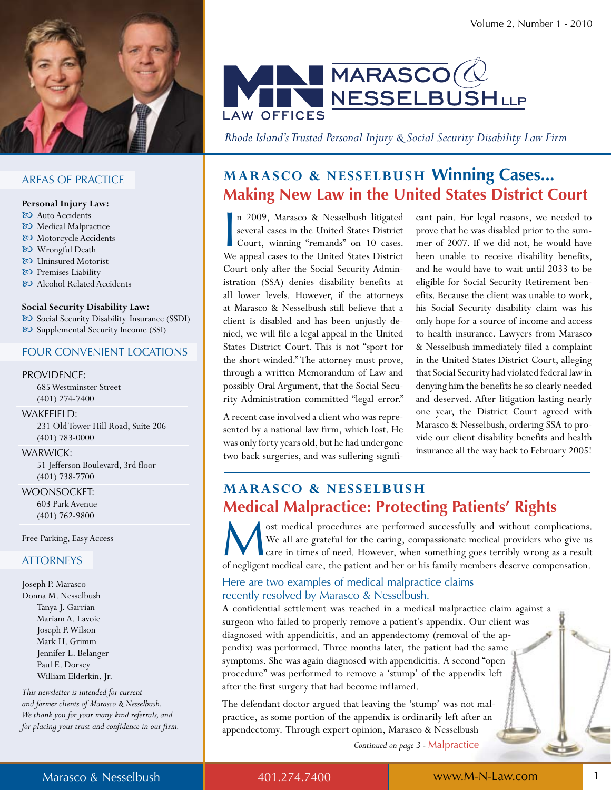

#### **AREAS OF PRACTICE**

#### Personal Injury Law:

- & Auto Accidents
- & Medical Malpractice
- & Motorcycle Accidents
- 80 Wrongful Death
- & Uninsured Motorist
- & Premises Liability
- & Alcohol Related Accidents

#### Social Security Disability Law:

& Social Security Disability Insurance (SSDI) & Supplemental Security Income (SSI)

#### **FOUR CONVENIENT LOCATIONS**

#### **PROVIDENCE:**

685 Westminster Street  $(401)$  274-7400

#### WAKEFIELD:

231 Old Tower Hill Road, Suite 206  $(401) 783 - 0000$ 

#### **WARWICK:**

51 Jefferson Boulevard, 3rd floor  $(401) 738 - 7700$ 

**WOONSOCKET:** 603 Park Avenue  $(401) 762 - 9800$ 

Free Parking, Easy Access

#### **ATTORNEYS**

Joseph P. Marasco Donna M. Nesselbush Tanya J. Garrian Mariam A. Lavoie Joseph P. Wilson Mark H. Grimm Jennifer L. Belanger Paul E. Dorsey William Elderkin, Jr.

This newsletter is intended for current and former clients of Marasco & Nesselbush. We thank you for your many kind referrals, and for placing your trust and confidence in our firm.



Rhode Island's Trusted Personal Injury & Social Security Disability Law Firm

## **MARASCO & NESSELBUSH Winning Cases... Making New Law in the United States District Court**

n 2009, Marasco & Nesselbush litigated several cases in the United States District Court, winning "remands" on 10 cases. We appeal cases to the United States District Court only after the Social Security Administration (SSA) denies disability benefits at all lower levels. However, if the attorneys at Marasco & Nesselbush still believe that a client is disabled and has been unjustly denied, we will file a legal appeal in the United States District Court. This is not "sport for the short-winded." The attorney must prove, through a written Memorandum of Law and possibly Oral Argument, that the Social Security Administration committed "legal error."

A recent case involved a client who was represented by a national law firm, which lost. He was only forty years old, but he had undergone two back surgeries, and was suffering significant pain. For legal reasons, we needed to prove that he was disabled prior to the summer of 2007. If we did not, he would have been unable to receive disability benefits, and he would have to wait until 2033 to be eligible for Social Security Retirement benefits. Because the client was unable to work, his Social Security disability claim was his only hope for a source of income and access to health insurance. Lawyers from Marasco & Nesselbush immediately filed a complaint in the United States District Court, alleging that Social Security had violated federal law in denying him the benefits he so clearly needed and deserved. After litigation lasting nearly one year, the District Court agreed with Marasco & Nesselbush, ordering SSA to provide our client disability benefits and health insurance all the way back to February 2005!

## **MARASCO & NESSELBUSH Medical Malpractice: Protecting Patients' Rights**

ost medical procedures are performed successfully and without complications. We all are grateful for the caring, compassionate medical providers who give us care in times of need. However, when something goes terribly wrong as a result of negligent medical care, the patient and her or his family members deserve compensation.

#### Here are two examples of medical malpractice claims recently resolved by Marasco & Nesselbush.

A confidential settlement was reached in a medical malpractice claim against a surgeon who failed to properly remove a patient's appendix. Our client was diagnosed with appendicitis, and an appendectomy (removal of the appendix) was performed. Three months later, the patient had the same symptoms. She was again diagnosed with appendicitis. A second "open procedure" was performed to remove a 'stump' of the appendix left after the first surgery that had become inflamed.

The defendant doctor argued that leaving the 'stump' was not malpractice, as some portion of the appendix is ordinarily left after an appendectomy. Through expert opinion, Marasco & Nesselbush Continued on page 3 - Malpractice

Marasco & Nesselbush

401.274.7400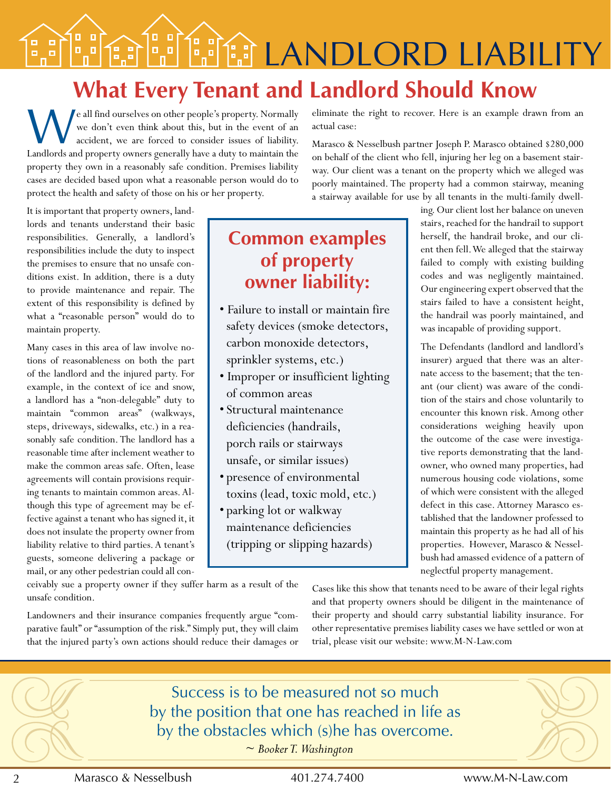**LANDLORD LIABILITY**  $\frac{1}{2}$ 

# **What Every Tenant and Landlord Should Know**

W e all find ourselves on other people's property. Normally we don't even think about this, but in the event of an accident, we are forced to consider issues of liability. Landlords and property owners generally have a duty to maintain the property they own in a reasonably safe condition. Premises liability cases are decided based upon what a reasonable person would do to protect the health and safety of those on his or her property.

It is important that property owners, landlords and tenants understand their basic responsibilities. Generally, a landlord's responsibilities include the duty to inspect the premises to ensure that no unsafe conditions exist. In addition, there is a duty to provide maintenance and repair. The extent of this responsibility is defined by what a "reasonable person" would do to maintain property.

Many cases in this area of law involve notions of reasonableness on both the part of the landlord and the injured party. For example, in the context of ice and snow, a landlord has a "non-delegable" duty to maintain "common areas" (walkways, steps, driveways, sidewalks, etc.) in a reasonably safe condition. The landlord has a reasonable time after inclement weather to make the common areas safe. Often, lease agreements will contain provisions requiring tenants to maintain common areas. Although this type of agreement may be effective against a tenant who has signed it, it does not insulate the property owner from liability relative to third parties. A tenant's guests, someone delivering a package or mail, or any other pedestrian could all con**Common examples of property owner liability:**

- Failure to install or maintain fire safety devices (smoke detectors, carbon monoxide detectors, sprinkler systems, etc.)
- Improper or insufficient lighting of common areas
- Structural maintenance deficiencies (handrails, porch rails or stairways unsafe, or similar issues)
- presence of environmental toxins (lead, toxic mold, etc.)
- parking lot or walkway maintenance deficiencies (tripping or slipping hazards)

eliminate the right to recover. Here is an example drawn from an actual case:

Marasco & Nesselbush partner Joseph P. Marasco obtained \$280,000 on behalf of the client who fell, injuring her leg on a basement stairway. Our client was a tenant on the property which we alleged was poorly maintained. The property had a common stairway, meaning a stairway available for use by all tenants in the multi-family dwell-

> ing. Our client lost her balance on uneven stairs, reached for the handrail to support herself, the handrail broke, and our client then fell. We alleged that the stairway failed to comply with existing building codes and was negligently maintained. Our engineering expert observed that the stairs failed to have a consistent height, the handrail was poorly maintained, and was incapable of providing support.

> The Defendants (landlord and landlord's insurer) argued that there was an alternate access to the basement; that the tenant (our client) was aware of the condition of the stairs and chose voluntarily to encounter this known risk. Among other considerations weighing heavily upon the outcome of the case were investigative reports demonstrating that the landowner, who owned many properties, had numerous housing code violations, some of which were consistent with the alleged defect in this case. Attorney Marasco established that the landowner professed to maintain this property as he had all of his properties. However, Marasco & Nesselbush had amassed evidence of a pattern of neglectful property management.

ceivably sue a property owner if they suffer harm as a result of the unsafe condition.

Landowners and their insurance companies frequently argue "comparative fault" or "assumption of the risk." Simply put, they will claim that the injured party's own actions should reduce their damages or Cases like this show that tenants need to be aware of their legal rights and that property owners should be diligent in the maintenance of their property and should carry substantial liability insurance. For other representative premises liability cases we have settled or won at trial, please visit our website: www.M-N-Law.com



2 Marasco & Nesselbush 401.274.7400 www.M-N-law.com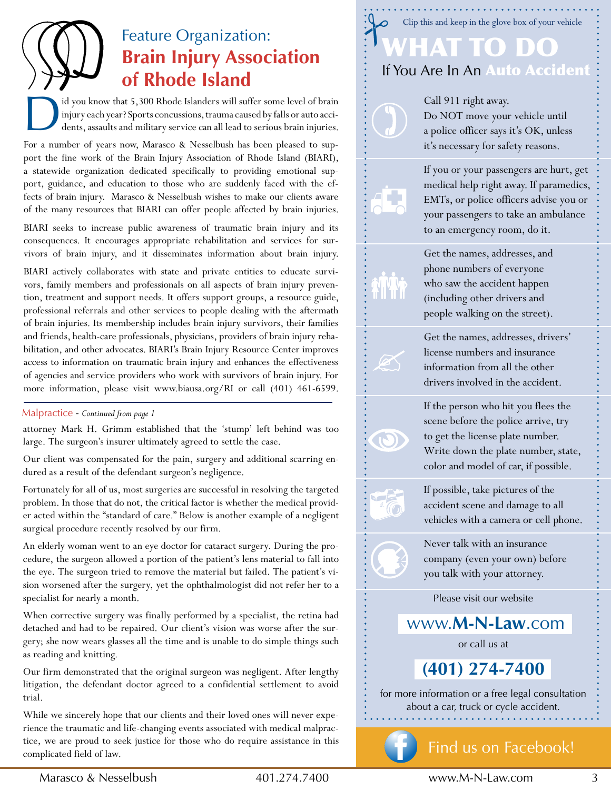# Feature Organization: **Brain Injury Association of Rhode Island**

D id you know that 5,300 Rhode Islanders will suffer some level of brain injury each year? Sports concussions, trauma caused by falls or auto accidents, assaults and military service can all lead to serious brain injuries.

For a number of years now, Marasco & Nesselbush has been pleased to support the fine work of the Brain Injury Association of Rhode Island (BIARI), a statewide organization dedicated specifically to providing emotional support, guidance, and education to those who are suddenly faced with the effects of brain injury. Marasco & Nesselbush wishes to make our clients aware of the many resources that BIARI can offer people affected by brain injuries.

BIARI seeks to increase public awareness of traumatic brain injury and its consequences. It encourages appropriate rehabilitation and services for survivors of brain injury, and it disseminates information about brain injury.

BIARI actively collaborates with state and private entities to educate survivors, family members and professionals on all aspects of brain injury prevention, treatment and support needs. It offers support groups, a resource guide, professional referrals and other services to people dealing with the aftermath of brain injuries. Its membership includes brain injury survivors, their families and friends, health-care professionals, physicians, providers of brain injury rehabilitation, and other advocates. BIARI's Brain Injury Resource Center improves access to information on traumatic brain injury and enhances the effectiveness of agencies and service providers who work with survivors of brain injury. For more information, please visit www.biausa.org/RI or call (401) 461-6599.

#### Malpractice - *Continued from page 1*

attorney Mark H. Grimm established that the 'stump' left behind was too large. The surgeon's insurer ultimately agreed to settle the case.

Our client was compensated for the pain, surgery and additional scarring endured as a result of the defendant surgeon's negligence.

Fortunately for all of us, most surgeries are successful in resolving the targeted problem. In those that do not, the critical factor is whether the medical provider acted within the "standard of care." Below is another example of a negligent surgical procedure recently resolved by our firm.

An elderly woman went to an eye doctor for cataract surgery. During the procedure, the surgeon allowed a portion of the patient's lens material to fall into the eye. The surgeon tried to remove the material but failed. The patient's vision worsened after the surgery, yet the ophthalmologist did not refer her to a specialist for nearly a month.

When corrective surgery was finally performed by a specialist, the retina had detached and had to be repaired. Our client's vision was worse after the surgery; she now wears glasses all the time and is unable to do simple things such as reading and knitting.

Our firm demonstrated that the original surgeon was negligent. After lengthy litigation, the defendant doctor agreed to a confidential settlement to avoid trial.

While we sincerely hope that our clients and their loved ones will never experience the traumatic and life-changing events associated with medical malpractice, we are proud to seek justice for those who do require assistance in this complicated field of law.

## What to Do If You Are In An Auto Accident Clip this and keep in the glove box of your vehicle

Call 911 right away. Do NOT move your vehicle until a police officer says it's OK, unless it's necessary for safety reasons.



If you or your passengers are hurt, get medical help right away. If paramedics, EMTs, or police officers advise you or your passengers to take an ambulance to an emergency room, do it.

Get the names, addresses, and phone numbers of everyone who saw the accident happen (including other drivers and people walking on the street).

Get the names, addresses, drivers' license numbers and insurance information from all the other drivers involved in the accident.

If the person who hit you flees the scene before the police arrive, try to get the license plate number. Write down the plate number, state, color and model of car, if possible.

If possible, take pictures of the accident scene and damage to all vehicles with a camera or cell phone.

Never talk with an insurance company (even your own) before you talk with your attorney.

Please visit our website

www.**M-N-Law**.com

or call us at

**(401) 274-7400** 

for more information or a free legal consultation about a car, truck or cycle accident.



## find us on facebook!